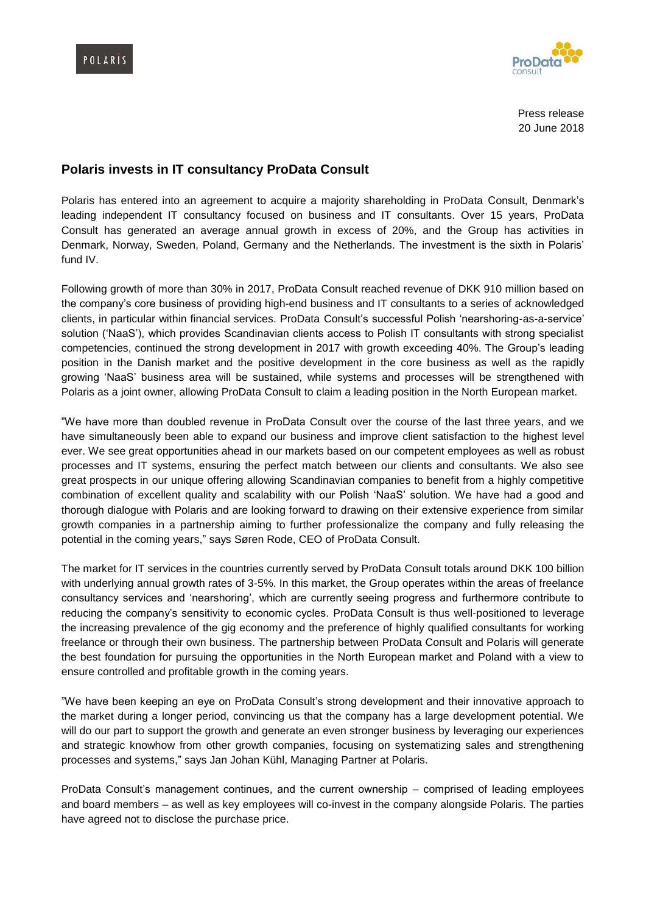



Press release 20 June 2018

## **Polaris invests in IT consultancy ProData Consult**

Polaris has entered into an agreement to acquire a majority shareholding in ProData Consult, Denmark's leading independent IT consultancy focused on business and IT consultants. Over 15 years, ProData Consult has generated an average annual growth in excess of 20%, and the Group has activities in Denmark, Norway, Sweden, Poland, Germany and the Netherlands. The investment is the sixth in Polaris' fund IV.

Following growth of more than 30% in 2017, ProData Consult reached revenue of DKK 910 million based on the company's core business of providing high-end business and IT consultants to a series of acknowledged clients, in particular within financial services. ProData Consult's successful Polish 'nearshoring-as-a-service' solution ('NaaS'), which provides Scandinavian clients access to Polish IT consultants with strong specialist competencies, continued the strong development in 2017 with growth exceeding 40%. The Group's leading position in the Danish market and the positive development in the core business as well as the rapidly growing 'NaaS' business area will be sustained, while systems and processes will be strengthened with Polaris as a joint owner, allowing ProData Consult to claim a leading position in the North European market.

"We have more than doubled revenue in ProData Consult over the course of the last three years, and we have simultaneously been able to expand our business and improve client satisfaction to the highest level ever. We see great opportunities ahead in our markets based on our competent employees as well as robust processes and IT systems, ensuring the perfect match between our clients and consultants. We also see great prospects in our unique offering allowing Scandinavian companies to benefit from a highly competitive combination of excellent quality and scalability with our Polish 'NaaS' solution. We have had a good and thorough dialogue with Polaris and are looking forward to drawing on their extensive experience from similar growth companies in a partnership aiming to further professionalize the company and fully releasing the potential in the coming years," says Søren Rode, CEO of ProData Consult.

The market for IT services in the countries currently served by ProData Consult totals around DKK 100 billion with underlying annual growth rates of 3-5%. In this market, the Group operates within the areas of freelance consultancy services and 'nearshoring', which are currently seeing progress and furthermore contribute to reducing the company's sensitivity to economic cycles. ProData Consult is thus well-positioned to leverage the increasing prevalence of the gig economy and the preference of highly qualified consultants for working freelance or through their own business. The partnership between ProData Consult and Polaris will generate the best foundation for pursuing the opportunities in the North European market and Poland with a view to ensure controlled and profitable growth in the coming years.

"We have been keeping an eye on ProData Consult's strong development and their innovative approach to the market during a longer period, convincing us that the company has a large development potential. We will do our part to support the growth and generate an even stronger business by leveraging our experiences and strategic knowhow from other growth companies, focusing on systematizing sales and strengthening processes and systems," says Jan Johan Kühl, Managing Partner at Polaris.

ProData Consult's management continues, and the current ownership – comprised of leading employees and board members – as well as key employees will co-invest in the company alongside Polaris. The parties have agreed not to disclose the purchase price.